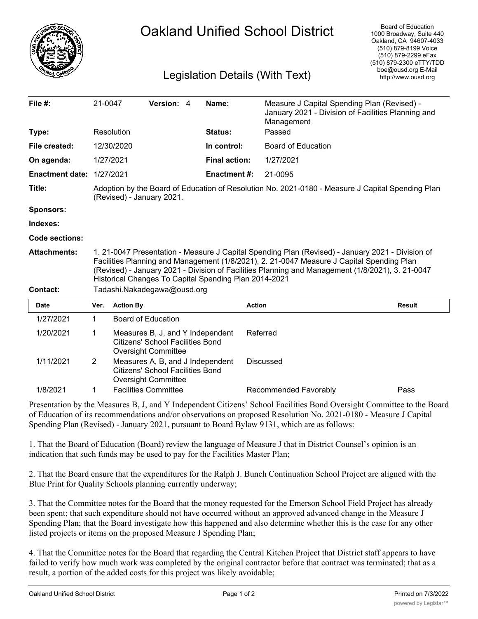

## Oakland Unified School District

## Legislation Details (With Text)

| File $#$ :             | 21-0047                                                                                                                                                                                                                                                                                                                                                    |                    | Version: 4                                                                                                |  | Name:                | Measure J Capital Spending Plan (Revised) -<br>January 2021 - Division of Facilities Planning and<br>Management |               |
|------------------------|------------------------------------------------------------------------------------------------------------------------------------------------------------------------------------------------------------------------------------------------------------------------------------------------------------------------------------------------------------|--------------------|-----------------------------------------------------------------------------------------------------------|--|----------------------|-----------------------------------------------------------------------------------------------------------------|---------------|
| Type:                  | Resolution                                                                                                                                                                                                                                                                                                                                                 |                    |                                                                                                           |  | <b>Status:</b>       | Passed                                                                                                          |               |
| File created:          |                                                                                                                                                                                                                                                                                                                                                            | 12/30/2020         |                                                                                                           |  | In control:          | Board of Education                                                                                              |               |
| On agenda:             |                                                                                                                                                                                                                                                                                                                                                            | 1/27/2021          |                                                                                                           |  | <b>Final action:</b> | 1/27/2021                                                                                                       |               |
| <b>Enactment date:</b> |                                                                                                                                                                                                                                                                                                                                                            | 1/27/2021          |                                                                                                           |  | <b>Enactment #:</b>  | 21-0095                                                                                                         |               |
| Title:                 | Adoption by the Board of Education of Resolution No. 2021-0180 - Measure J Capital Spending Plan<br>(Revised) - January 2021.                                                                                                                                                                                                                              |                    |                                                                                                           |  |                      |                                                                                                                 |               |
| <b>Sponsors:</b>       |                                                                                                                                                                                                                                                                                                                                                            |                    |                                                                                                           |  |                      |                                                                                                                 |               |
| Indexes:               |                                                                                                                                                                                                                                                                                                                                                            |                    |                                                                                                           |  |                      |                                                                                                                 |               |
| Code sections:         |                                                                                                                                                                                                                                                                                                                                                            |                    |                                                                                                           |  |                      |                                                                                                                 |               |
| <b>Attachments:</b>    | 1. 21-0047 Presentation - Measure J Capital Spending Plan (Revised) - January 2021 - Division of<br>Facilities Planning and Management (1/8/2021), 2. 21-0047 Measure J Capital Spending Plan<br>(Revised) - January 2021 - Division of Facilities Planning and Management (1/8/2021), 3. 21-0047<br>Historical Changes To Capital Spending Plan 2014-2021 |                    |                                                                                                           |  |                      |                                                                                                                 |               |
| <b>Contact:</b>        | Tadashi.Nakadegawa@ousd.org                                                                                                                                                                                                                                                                                                                                |                    |                                                                                                           |  |                      |                                                                                                                 |               |
| <b>Date</b>            | Ver.                                                                                                                                                                                                                                                                                                                                                       | <b>Action By</b>   |                                                                                                           |  |                      | <b>Action</b>                                                                                                   | <b>Result</b> |
| 1/27/2021              | $\mathbf 1$                                                                                                                                                                                                                                                                                                                                                | Board of Education |                                                                                                           |  |                      |                                                                                                                 |               |
| 1/20/2021              | 1                                                                                                                                                                                                                                                                                                                                                          |                    | Measures B, J, and Y Independent<br><b>Citizens' School Facilities Bond</b><br><b>Oversight Committee</b> |  |                      | Referred                                                                                                        |               |
| 1/11/2021              | 2                                                                                                                                                                                                                                                                                                                                                          |                    | Measures A, B, and J Independent<br><b>Citizens' School Facilities Bond</b><br><b>Oversight Committee</b> |  |                      | <b>Discussed</b>                                                                                                |               |
| 1/8/2021               | 1                                                                                                                                                                                                                                                                                                                                                          |                    | <b>Facilities Committee</b>                                                                               |  |                      | Recommended Favorably                                                                                           | Pass          |

Presentation by the Measures B, J, and Y Independent Citizens' School Facilities Bond Oversight Committee to the Board of Education of its recommendations and/or observations on proposed Resolution No. 2021-0180 - Measure J Capital Spending Plan (Revised) - January 2021, pursuant to Board Bylaw 9131, which are as follows:

1. That the Board of Education (Board) review the language of Measure J that in District Counsel's opinion is an indication that such funds may be used to pay for the Facilities Master Plan;

2. That the Board ensure that the expenditures for the Ralph J. Bunch Continuation School Project are aligned with the Blue Print for Quality Schools planning currently underway;

3. That the Committee notes for the Board that the money requested for the Emerson School Field Project has already been spent; that such expenditure should not have occurred without an approved advanced change in the Measure J Spending Plan; that the Board investigate how this happened and also determine whether this is the case for any other listed projects or items on the proposed Measure J Spending Plan;

4. That the Committee notes for the Board that regarding the Central Kitchen Project that District staff appears to have failed to verify how much work was completed by the original contractor before that contract was terminated; that as a result, a portion of the added costs for this project was likely avoidable;